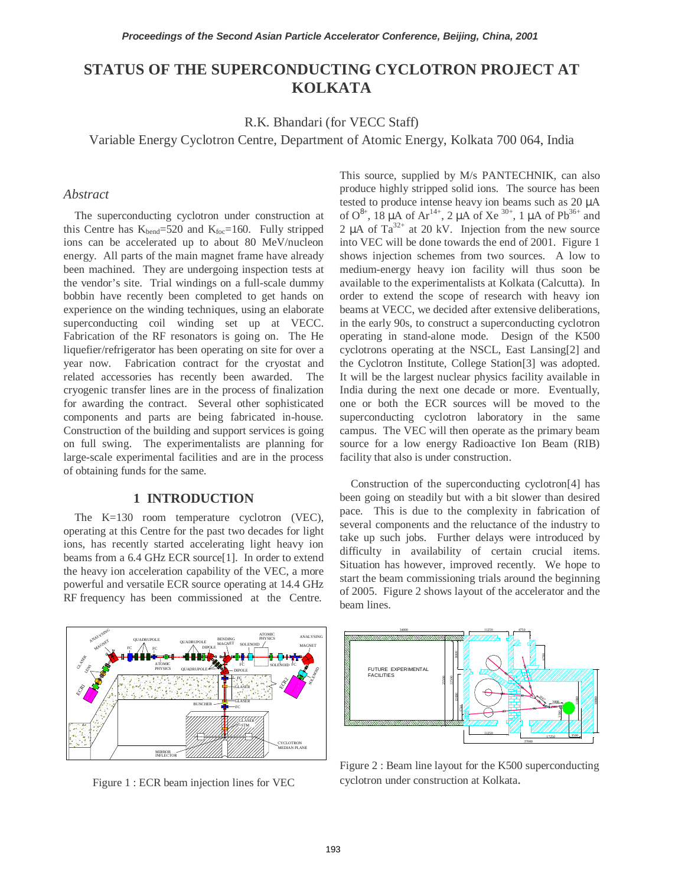# **STATUS OF THE SUPERCONDUCTING CYCLOTRON PROJECT AT KOLKATA**

R.K. Bhandari (for VECC Staff)

Variable Energy Cyclotron Centre, Department of Atomic Energy, Kolkata 700 064, India

#### *Abstract*

The superconducting cyclotron under construction at this Centre has  $K_{bend}$ =520 and  $K_{foc}$ =160. Fully stripped ions can be accelerated up to about 80 MeV/nucleon energy. All parts of the main magnet frame have already been machined. They are undergoing inspection tests at the vendor's site. Trial windings on a full-scale dummy bobbin have recently been completed to get hands on experience on the winding techniques, using an elaborate superconducting coil winding set up at VECC. Fabrication of the RF resonators is going on. The He liquefier/refrigerator has been operating on site for over a year now. Fabrication contract for the cryostat and related accessories has recently been awarded. The cryogenic transfer lines are in the process of finalization for awarding the contract. Several other sophisticated components and parts are being fabricated in-house. Construction of the building and support services is going on full swing. The experimentalists are planning for large-scale experimental facilities and are in the process of obtaining funds for the same.

## **1 INTRODUCTION**

The K=130 room temperature cyclotron (VEC), operating at this Centre for the past two decades for light ions, has recently started accelerating light heavy ion beams from a 6.4 GHz ECR source[1]. In order to extend the heavy ion acceleration capability of the VEC, a more powerful and versatile ECR source operating at 14.4 GHz RF frequency has been commissioned at the Centre.

This source, supplied by M/s PANTECHNIK, can also produce highly stripped solid ions. The source has been tested to produce intense heavy ion beams such as 20 µA of  $O^{8+}$ , 18 µA of Ar<sup>14+</sup>, 2 µA of Xe<sup>30+</sup>, 1 µA of Pb<sup>36+</sup> and 2  $\mu$ A of Ta<sup>32+</sup> at 20 kV. Injection from the new source into VEC will be done towards the end of 2001. Figure 1 shows injection schemes from two sources. A low to medium-energy heavy ion facility will thus soon be available to the experimentalists at Kolkata (Calcutta). In order to extend the scope of research with heavy ion beams at VECC, we decided after extensive deliberations, in the early 90s, to construct a superconducting cyclotron operating in stand-alone mode. Design of the K500 cyclotrons operating at the NSCL, East Lansing[2] and the Cyclotron Institute, College Station[3] was adopted. It will be the largest nuclear physics facility available in India during the next one decade or more. Eventually, one or both the ECR sources will be moved to the superconducting cyclotron laboratory in the same campus. The VEC will then operate as the primary beam source for a low energy Radioactive Ion Beam (RIB) facility that also is under construction.

Construction of the superconducting cyclotron[4] has been going on steadily but with a bit slower than desired pace. This is due to the complexity in fabrication of several components and the reluctance of the industry to take up such jobs. Further delays were introduced by difficulty in availability of certain crucial items. Situation has however, improved recently. We hope to start the beam commissioning trials around the beginning of 2005. Figure 2 shows layout of the accelerator and the beam lines.



Figure 1 : ECR beam injection lines for VEC



Figure 2 : Beam line layout for the K500 superconducting cyclotron under construction at Kolkata.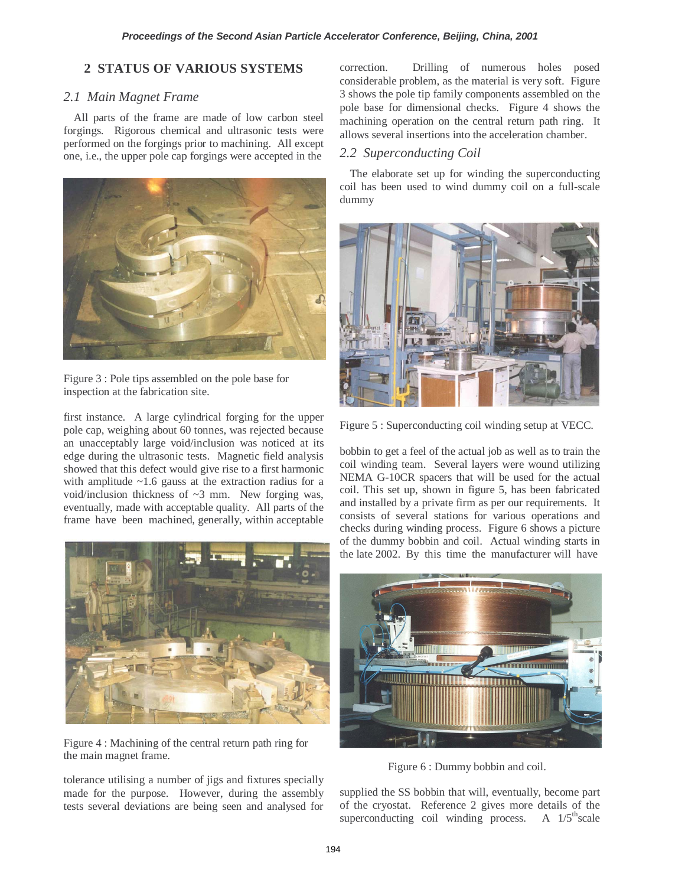## **2 STATUS OF VARIOUS SYSTEMS**

## *2.1 Main Magnet Frame*

All parts of the frame are made of low carbon steel forgings. Rigorous chemical and ultrasonic tests were performed on the forgings prior to machining. All except one, i.e., the upper pole cap forgings were accepted in the



Figure 3 : Pole tips assembled on the pole base for inspection at the fabrication site.

first instance. A large cylindrical forging for the upper pole cap, weighing about 60 tonnes, was rejected because an unacceptably large void/inclusion was noticed at its edge during the ultrasonic tests. Magnetic field analysis showed that this defect would give rise to a first harmonic with amplitude  $\sim$ 1.6 gauss at the extraction radius for a void/inclusion thickness of ~3 mm. New forging was, eventually, made with acceptable quality. All parts of the frame have been machined, generally, within acceptable



Figure 4 : Machining of the central return path ring for the main magnet frame.

tolerance utilising a number of jigs and fixtures specially made for the purpose. However, during the assembly tests several deviations are being seen and analysed for correction. Drilling of numerous holes posed considerable problem, as the material is very soft. Figure 3 shows the pole tip family components assembled on the pole base for dimensional checks. Figure 4 shows the machining operation on the central return path ring. It allows several insertions into the acceleration chamber.

# *2.2 Superconducting Coil*

The elaborate set up for winding the superconducting coil has been used to wind dummy coil on a full-scale dummy



Figure 5 : Superconducting coil winding setup at VECC.

bobbin to get a feel of the actual job as well as to train the coil winding team. Several layers were wound utilizing NEMA G-10CR spacers that will be used for the actual coil. This set up, shown in figure 5, has been fabricated and installed by a private firm as per our requirements. It consists of several stations for various operations and checks during winding process. Figure 6 shows a picture of the dummy bobbin and coil. Actual winding starts in the late 2002. By this time the manufacturer will have



Figure 6 : Dummy bobbin and coil.

supplied the SS bobbin that will, eventually, become part of the cryostat. Reference 2 gives more details of the superconducting coil winding process. A  $1/5<sup>th</sup> scale$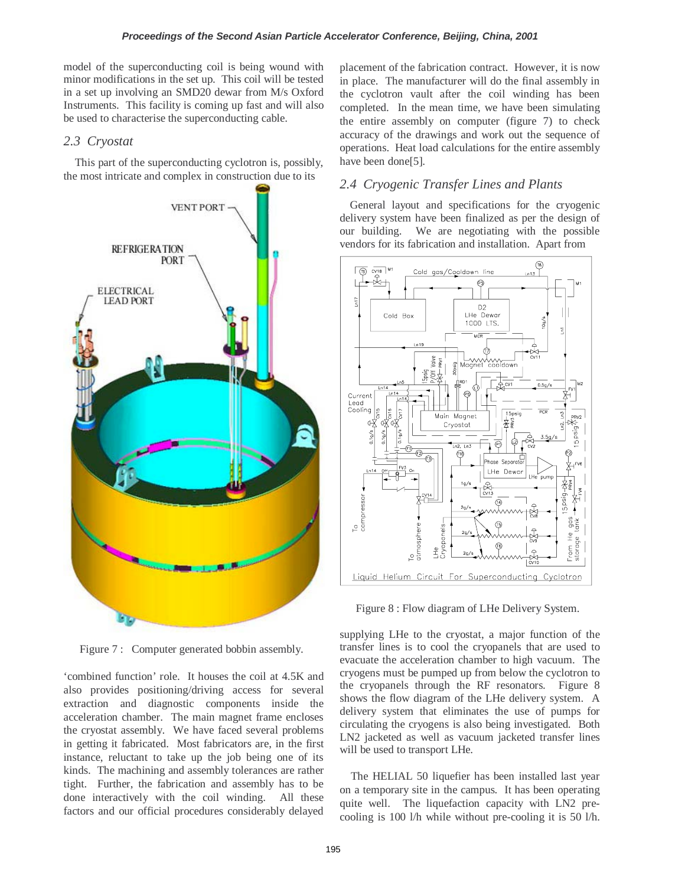model of the superconducting coil is being wound with minor modifications in the set up. This coil will be tested in a set up involving an SMD20 dewar from M/s Oxford Instruments. This facility is coming up fast and will also be used to characterise the superconducting cable.

## *2.3 Cryostat*

This part of the superconducting cyclotron is, possibly, the most intricate and complex in construction due to its



Figure 7 : Computer generated bobbin assembly.

'combined function' role. It houses the coil at 4.5K and also provides positioning/driving access for several extraction and diagnostic components inside the acceleration chamber. The main magnet frame encloses the cryostat assembly. We have faced several problems in getting it fabricated. Most fabricators are, in the first instance, reluctant to take up the job being one of its kinds. The machining and assembly tolerances are rather tight. Further, the fabrication and assembly has to be done interactively with the coil winding. All these factors and our official procedures considerably delayed

placement of the fabrication contract. However, it is now in place. The manufacturer will do the final assembly in the cyclotron vault after the coil winding has been completed. In the mean time, we have been simulating the entire assembly on computer (figure 7) to check accuracy of the drawings and work out the sequence of operations. Heat load calculations for the entire assembly have been done[5].

## *2.4 Cryogenic Transfer Lines and Plants*

General layout and specifications for the cryogenic delivery system have been finalized as per the design of our building. We are negotiating with the possible vendors for its fabrication and installation. Apart from



Figure 8 : Flow diagram of LHe Delivery System.

supplying LHe to the cryostat, a major function of the transfer lines is to cool the cryopanels that are used to evacuate the acceleration chamber to high vacuum. The cryogens must be pumped up from below the cyclotron to the cryopanels through the RF resonators. Figure 8 shows the flow diagram of the LHe delivery system. A delivery system that eliminates the use of pumps for circulating the cryogens is also being investigated. Both LN2 jacketed as well as vacuum jacketed transfer lines will be used to transport LHe.

The HELIAL 50 liquefier has been installed last year on a temporary site in the campus. It has been operating quite well. The liquefaction capacity with LN2 precooling is 100 l/h while without pre-cooling it is 50 l/h.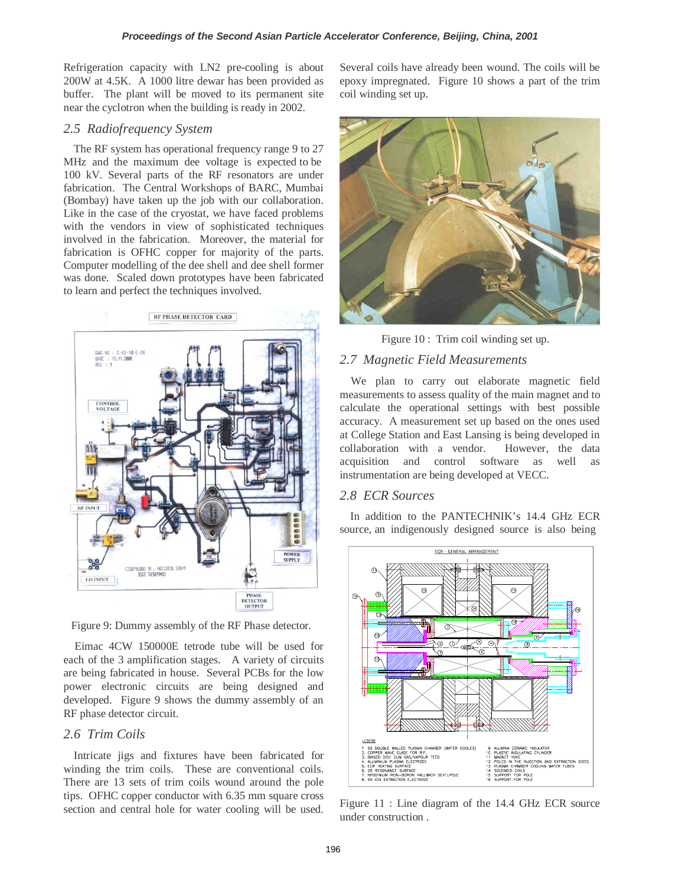Refrigeration capacity with LN2 pre-cooling is about 200W at 4.5K. A 1000 litre dewar has been provided as buffer. The plant will be moved to its permanent site near the cyclotron when the building is ready in 2002.

#### *2.5 Radiofrequency System*

The RF system has operational frequency range 9 to 27 MHz and the maximum dee voltage is expected to be 100 kV. Several parts of the RF resonators are under fabrication. The Central Workshops of BARC, Mumbai (Bombay) have taken up the job with our collaboration. Like in the case of the cryostat, we have faced problems with the vendors in view of sophisticated techniques involved in the fabrication. Moreover, the material for fabrication is OFHC copper for majority of the parts. Computer modelling of the dee shell and dee shell former was done. Scaled down prototypes have been fabricated to learn and perfect the techniques involved.



Figure 9: Dummy assembly of the RF Phase detector.

Eimac 4CW 150000E tetrode tube will be used for each of the 3 amplification stages. A variety of circuits are being fabricated in house. Several PCBs for the low power electronic circuits are being designed and developed. Figure 9 shows the dummy assembly of an RF phase detector circuit.

#### *2.6 Trim Coils*

Intricate jigs and fixtures have been fabricated for winding the trim coils. These are conventional coils. There are 13 sets of trim coils wound around the pole tips. OFHC copper conductor with 6.35 mm square cross section and central hole for water cooling will be used.

Several coils have already been wound. The coils will be epoxy impregnated. Figure 10 shows a part of the trim coil winding set up.



Figure 10 : Trim coil winding set up.

#### *2.7 Magnetic Field Measurements*

We plan to carry out elaborate magnetic field measurements to assess quality of the main magnet and to calculate the operational settings with best possible accuracy. A measurement set up based on the ones used at College Station and East Lansing is being developed in collaboration with a vendor. However, the data acquisition and control software as well as instrumentation are being developed at VECC.

#### *2.8 ECR Sources*

In addition to the PANTECHNIK's 14.4 GHz ECR source, an indigenously designed source is also being



Figure 11 : Line diagram of the 14.4 GHz ECR source under construction .